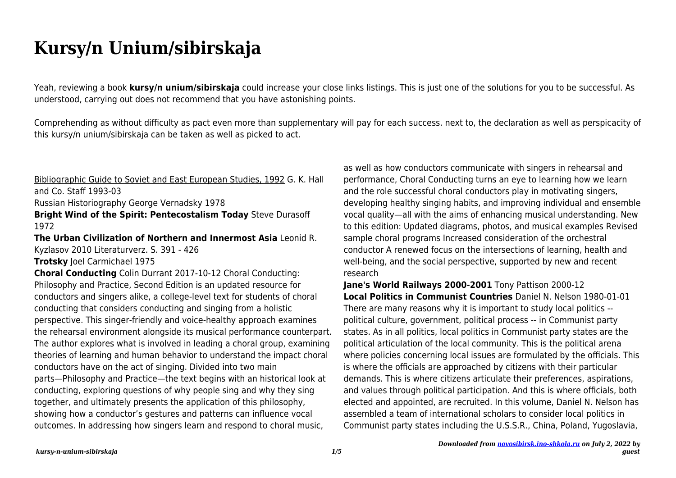## **Kursy/n Unium/sibirskaja**

Yeah, reviewing a book **kursy/n unium/sibirskaja** could increase your close links listings. This is just one of the solutions for you to be successful. As understood, carrying out does not recommend that you have astonishing points.

Comprehending as without difficulty as pact even more than supplementary will pay for each success. next to, the declaration as well as perspicacity of this kursy/n unium/sibirskaja can be taken as well as picked to act.

Bibliographic Guide to Soviet and East European Studies, 1992 G. K. Hall and Co. Staff 1993-03

Russian Historiography George Vernadsky 1978

**Bright Wind of the Spirit: Pentecostalism Today** Steve Durasoff 1972

**The Urban Civilization of Northern and Innermost Asia** Leonid R. Kyzlasov 2010 Literaturverz. S. 391 - 426

**Trotsky** Joel Carmichael 1975

**Choral Conducting** Colin Durrant 2017-10-12 Choral Conducting: Philosophy and Practice, Second Edition is an updated resource for conductors and singers alike, a college-level text for students of choral conducting that considers conducting and singing from a holistic perspective. This singer-friendly and voice-healthy approach examines the rehearsal environment alongside its musical performance counterpart. The author explores what is involved in leading a choral group, examining theories of learning and human behavior to understand the impact choral conductors have on the act of singing. Divided into two main parts—Philosophy and Practice—the text begins with an historical look at conducting, exploring questions of why people sing and why they sing together, and ultimately presents the application of this philosophy, showing how a conductor's gestures and patterns can influence vocal outcomes. In addressing how singers learn and respond to choral music,

as well as how conductors communicate with singers in rehearsal and performance, Choral Conducting turns an eye to learning how we learn and the role successful choral conductors play in motivating singers, developing healthy singing habits, and improving individual and ensemble vocal quality—all with the aims of enhancing musical understanding. New to this edition: Updated diagrams, photos, and musical examples Revised sample choral programs Increased consideration of the orchestral conductor A renewed focus on the intersections of learning, health and well-being, and the social perspective, supported by new and recent research

**Jane's World Railways 2000-2001** Tony Pattison 2000-12 **Local Politics in Communist Countries** Daniel N. Nelson 1980-01-01 There are many reasons why it is important to study local politics - political culture, government, political process -- in Communist party states. As in all politics, local politics in Communist party states are the political articulation of the local community. This is the political arena where policies concerning local issues are formulated by the officials. This is where the officials are approached by citizens with their particular demands. This is where citizens articulate their preferences, aspirations, and values through political participation. And this is where officials, both elected and appointed, are recruited. In this volume, Daniel N. Nelson has assembled a team of international scholars to consider local politics in Communist party states including the U.S.S.R., China, Poland, Yugoslavia,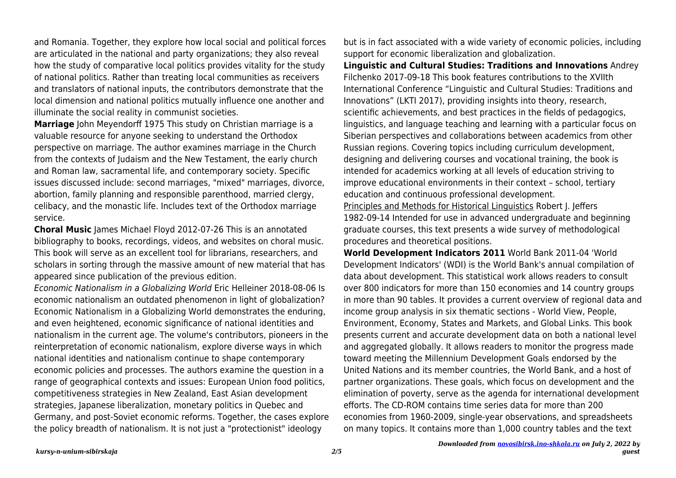and Romania. Together, they explore how local social and political forces are articulated in the national and party organizations; they also reveal how the study of comparative local politics provides vitality for the study of national politics. Rather than treating local communities as receivers and translators of national inputs, the contributors demonstrate that the local dimension and national politics mutually influence one another and illuminate the social reality in communist societies.

**Marriage** John Meyendorff 1975 This study on Christian marriage is a valuable resource for anyone seeking to understand the Orthodox perspective on marriage. The author examines marriage in the Church from the contexts of Judaism and the New Testament, the early church and Roman law, sacramental life, and contemporary society. Specific issues discussed include: second marriages, "mixed" marriages, divorce, abortion, family planning and responsible parenthood, married clergy, celibacy, and the monastic life. Includes text of the Orthodox marriage service.

**Choral Music** James Michael Floyd 2012-07-26 This is an annotated bibliography to books, recordings, videos, and websites on choral music. This book will serve as an excellent tool for librarians, researchers, and scholars in sorting through the massive amount of new material that has appeared since publication of the previous edition.

Economic Nationalism in a Globalizing World Eric Helleiner 2018-08-06 Is economic nationalism an outdated phenomenon in light of globalization? Economic Nationalism in a Globalizing World demonstrates the enduring, and even heightened, economic significance of national identities and nationalism in the current age. The volume's contributors, pioneers in the reinterpretation of economic nationalism, explore diverse ways in which national identities and nationalism continue to shape contemporary economic policies and processes. The authors examine the question in a range of geographical contexts and issues: European Union food politics, competitiveness strategies in New Zealand, East Asian development strategies, Japanese liberalization, monetary politics in Quebec and Germany, and post-Soviet economic reforms. Together, the cases explore the policy breadth of nationalism. It is not just a "protectionist" ideology

but is in fact associated with a wide variety of economic policies, including support for economic liberalization and globalization.

**Linguistic and Cultural Studies: Traditions and Innovations** Andrey Filchenko 2017-09-18 This book features contributions to the XVIIth International Conference "Linguistic and Cultural Studies: Traditions and Innovations" (LKTI 2017), providing insights into theory, research, scientific achievements, and best practices in the fields of pedagogics, linguistics, and language teaching and learning with a particular focus on Siberian perspectives and collaborations between academics from other Russian regions. Covering topics including curriculum development, designing and delivering courses and vocational training, the book is intended for academics working at all levels of education striving to improve educational environments in their context – school, tertiary education and continuous professional development.

Principles and Methods for Historical Linguistics Robert J. Jeffers 1982-09-14 Intended for use in advanced undergraduate and beginning graduate courses, this text presents a wide survey of methodological procedures and theoretical positions.

**World Development Indicators 2011** World Bank 2011-04 'World Development Indicators' (WDI) is the World Bank's annual compilation of data about development. This statistical work allows readers to consult over 800 indicators for more than 150 economies and 14 country groups in more than 90 tables. It provides a current overview of regional data and income group analysis in six thematic sections - World View, People, Environment, Economy, States and Markets, and Global Links. This book presents current and accurate development data on both a national level and aggregated globally. It allows readers to monitor the progress made toward meeting the Millennium Development Goals endorsed by the United Nations and its member countries, the World Bank, and a host of partner organizations. These goals, which focus on development and the elimination of poverty, serve as the agenda for international development efforts. The CD-ROM contains time series data for more than 200 economies from 1960-2009, single-year observations, and spreadsheets on many topics. It contains more than 1,000 country tables and the text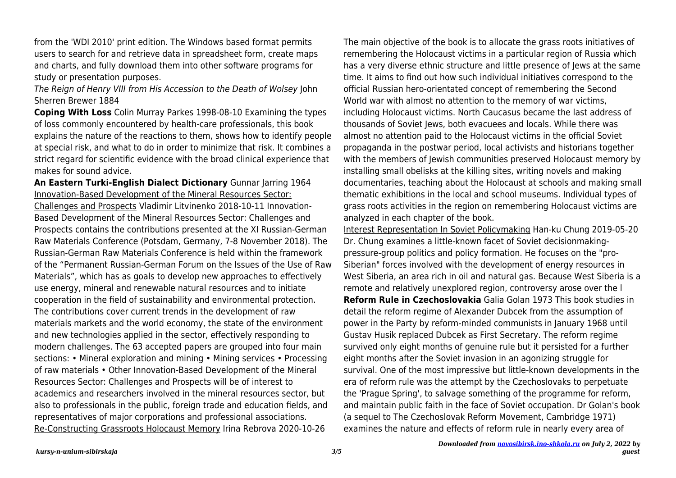from the 'WDI 2010' print edition. The Windows based format permits users to search for and retrieve data in spreadsheet form, create maps and charts, and fully download them into other software programs for study or presentation purposes.

The Reign of Henry VIII from His Accession to the Death of Wolsey John Sherren Brewer 1884

**Coping With Loss** Colin Murray Parkes 1998-08-10 Examining the types of loss commonly encountered by health-care professionals, this book explains the nature of the reactions to them, shows how to identify people at special risk, and what to do in order to minimize that risk. It combines a strict regard for scientific evidence with the broad clinical experience that makes for sound advice.

**An Eastern Turki-English Dialect Dictionary** Gunnar Jarring 1964 Innovation-Based Development of the Mineral Resources Sector:

Challenges and Prospects Vladimir Litvinenko 2018-10-11 Innovation-Based Development of the Mineral Resources Sector: Challenges and Prospects contains the contributions presented at the XI Russian-German Raw Materials Conference (Potsdam, Germany, 7-8 November 2018). The Russian-German Raw Materials Conference is held within the framework of the "Permanent Russian-German Forum on the Issues of the Use of Raw Materials", which has as goals to develop new approaches to effectively use energy, mineral and renewable natural resources and to initiate cooperation in the field of sustainability and environmental protection. The contributions cover current trends in the development of raw materials markets and the world economy, the state of the environment and new technologies applied in the sector, effectively responding to modern challenges. The 63 accepted papers are grouped into four main sections: • Mineral exploration and mining • Mining services • Processing of raw materials • Other Innovation-Based Development of the Mineral Resources Sector: Challenges and Prospects will be of interest to academics and researchers involved in the mineral resources sector, but also to professionals in the public, foreign trade and education fields, and representatives of major corporations and professional associations. Re-Constructing Grassroots Holocaust Memory Irina Rebrova 2020-10-26

The main objective of the book is to allocate the grass roots initiatives of remembering the Holocaust victims in a particular region of Russia which has a very diverse ethnic structure and little presence of Jews at the same time. It aims to find out how such individual initiatives correspond to the official Russian hero-orientated concept of remembering the Second World war with almost no attention to the memory of war victims, including Holocaust victims. North Caucasus became the last address of thousands of Soviet Jews, both evacuees and locals. While there was almost no attention paid to the Holocaust victims in the official Soviet propaganda in the postwar period, local activists and historians together with the members of Jewish communities preserved Holocaust memory by installing small obelisks at the killing sites, writing novels and making documentaries, teaching about the Holocaust at schools and making small thematic exhibitions in the local and school museums. Individual types of grass roots activities in the region on remembering Holocaust victims are analyzed in each chapter of the book.

Interest Representation In Soviet Policymaking Han-ku Chung 2019-05-20 Dr. Chung examines a little-known facet of Soviet decisionmakingpressure-group politics and policy formation. He focuses on the "pro-Siberian" forces involved with the development of energy resources in West Siberia, an area rich in oil and natural gas. Because West Siberia is a remote and relatively unexplored region, controversy arose over the l **Reform Rule in Czechoslovakia** Galia Golan 1973 This book studies in detail the reform regime of Alexander Dubcek from the assumption of power in the Party by reform-minded communists in January 1968 until Gustav Husik replaced Dubcek as First Secretary. The reform regime survived only eight months of genuine rule but it persisted for a further eight months after the Soviet invasion in an agonizing struggle for survival. One of the most impressive but little-known developments in the era of reform rule was the attempt by the Czechoslovaks to perpetuate the 'Prague Spring', to salvage something of the programme for reform, and maintain public faith in the face of Soviet occupation. Dr Golan's book (a sequel to The Czechoslovak Reform Movement, Cambridge 1971) examines the nature and effects of reform rule in nearly every area of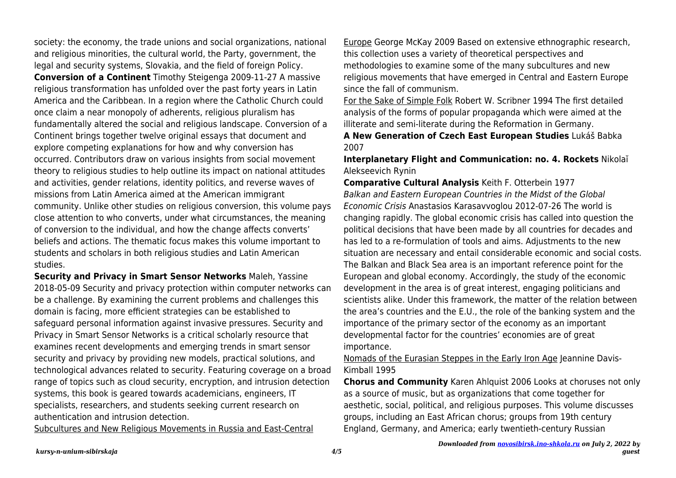society: the economy, the trade unions and social organizations, national and religious minorities, the cultural world, the Party, government, the legal and security systems, Slovakia, and the field of foreign Policy. **Conversion of a Continent** Timothy Steigenga 2009-11-27 A massive religious transformation has unfolded over the past forty years in Latin America and the Caribbean. In a region where the Catholic Church could once claim a near monopoly of adherents, religious pluralism has fundamentally altered the social and religious landscape. Conversion of a Continent brings together twelve original essays that document and explore competing explanations for how and why conversion has occurred. Contributors draw on various insights from social movement theory to religious studies to help outline its impact on national attitudes and activities, gender relations, identity politics, and reverse waves of missions from Latin America aimed at the American immigrant community. Unlike other studies on religious conversion, this volume pays close attention to who converts, under what circumstances, the meaning of conversion to the individual, and how the change affects converts' beliefs and actions. The thematic focus makes this volume important to students and scholars in both religious studies and Latin American studies.

**Security and Privacy in Smart Sensor Networks** Maleh, Yassine 2018-05-09 Security and privacy protection within computer networks can be a challenge. By examining the current problems and challenges this domain is facing, more efficient strategies can be established to safeguard personal information against invasive pressures. Security and Privacy in Smart Sensor Networks is a critical scholarly resource that examines recent developments and emerging trends in smart sensor security and privacy by providing new models, practical solutions, and technological advances related to security. Featuring coverage on a broad range of topics such as cloud security, encryption, and intrusion detection systems, this book is geared towards academicians, engineers, IT specialists, researchers, and students seeking current research on authentication and intrusion detection.

Subcultures and New Religious Movements in Russia and East-Central

Europe George McKay 2009 Based on extensive ethnographic research, this collection uses a variety of theoretical perspectives and methodologies to examine some of the many subcultures and new religious movements that have emerged in Central and Eastern Europe since the fall of communism.

For the Sake of Simple Folk Robert W. Scribner 1994 The first detailed analysis of the forms of popular propaganda which were aimed at the illiterate and semi-literate during the Reformation in Germany.

**A New Generation of Czech East European Studies** Lukáš Babka 2007

**Interplanetary Flight and Communication: no. 4. Rockets** Nikolaĭ Alekseevich Rynin

**Comparative Cultural Analysis** Keith F. Otterbein 1977 Balkan and Eastern European Countries in the Midst of the Global Economic Crisis Anastasios Karasavvoglou 2012-07-26 The world is changing rapidly. The global economic crisis has called into question the political decisions that have been made by all countries for decades and has led to a re-formulation of tools and aims. Adjustments to the new situation are necessary and entail considerable economic and social costs. The Balkan and Black Sea area is an important reference point for the European and global economy. Accordingly, the study of the economic development in the area is of great interest, engaging politicians and scientists alike. Under this framework, the matter of the relation between the area's countries and the E.U., the role of the banking system and the importance of the primary sector of the economy as an important developmental factor for the countries' economies are of great importance.

Nomads of the Eurasian Steppes in the Early Iron Age Jeannine Davis-Kimball 1995

**Chorus and Community** Karen Ahlquist 2006 Looks at choruses not only as a source of music, but as organizations that come together for aesthetic, social, political, and religious purposes. This volume discusses groups, including an East African chorus; groups from 19th century England, Germany, and America; early twentieth-century Russian